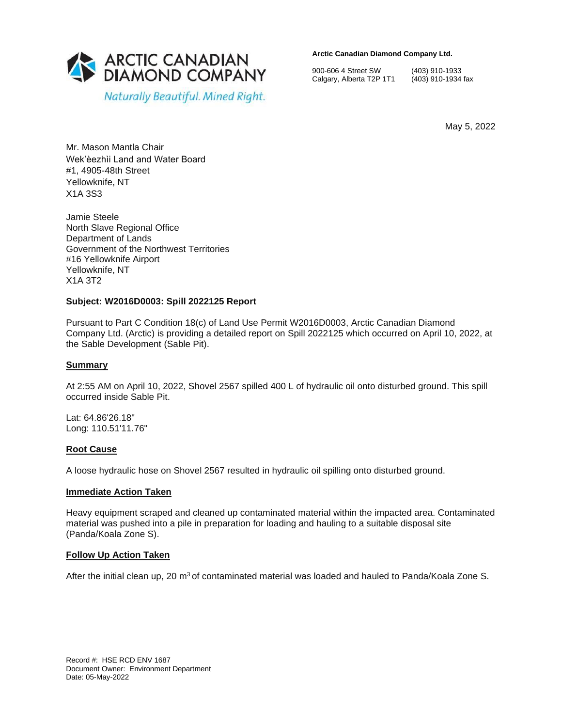

**Arctic Canadian Diamond Company Ltd.** 

900-606 4 Street SW (403) 910-1933 Calgary, Alberta T2P 1T1 (403) 910-1934 fax

May 5, 2022

Mr. Mason Mantla Chair Wek'èezhìi Land and Water Board #1, 4905-48th Street Yellowknife, NT X1A 3S3

Jamie Steele North Slave Regional Office Department of Lands Government of the Northwest Territories #16 Yellowknife Airport Yellowknife, NT X1A 3T2

# **Subject: W2016D0003: Spill 2022125 Report**

Pursuant to Part C Condition 18(c) of Land Use Permit W2016D0003, Arctic Canadian Diamond Company Ltd. (Arctic) is providing a detailed report on Spill 2022125 which occurred on April 10, 2022, at the Sable Development (Sable Pit).

### **Summary**

At 2:55 AM on April 10, 2022, Shovel 2567 spilled 400 L of hydraulic oil onto disturbed ground. This spill occurred inside Sable Pit.

Lat: 64.86'26.18" Long: 110.51'11.76"

### **Root Cause**

A loose hydraulic hose on Shovel 2567 resulted in hydraulic oil spilling onto disturbed ground.

### **Immediate Action Taken**

Heavy equipment scraped and cleaned up contaminated material within the impacted area. Contaminated material was pushed into a pile in preparation for loading and hauling to a suitable disposal site (Panda/Koala Zone S).

# **Follow Up Action Taken**

After the initial clean up, 20  $\text{m}^3$  of contaminated material was loaded and hauled to Panda/Koala Zone S.

Record #: HSE RCD ENV 1687 Document Owner: Environment Department Date: 05-May-2022